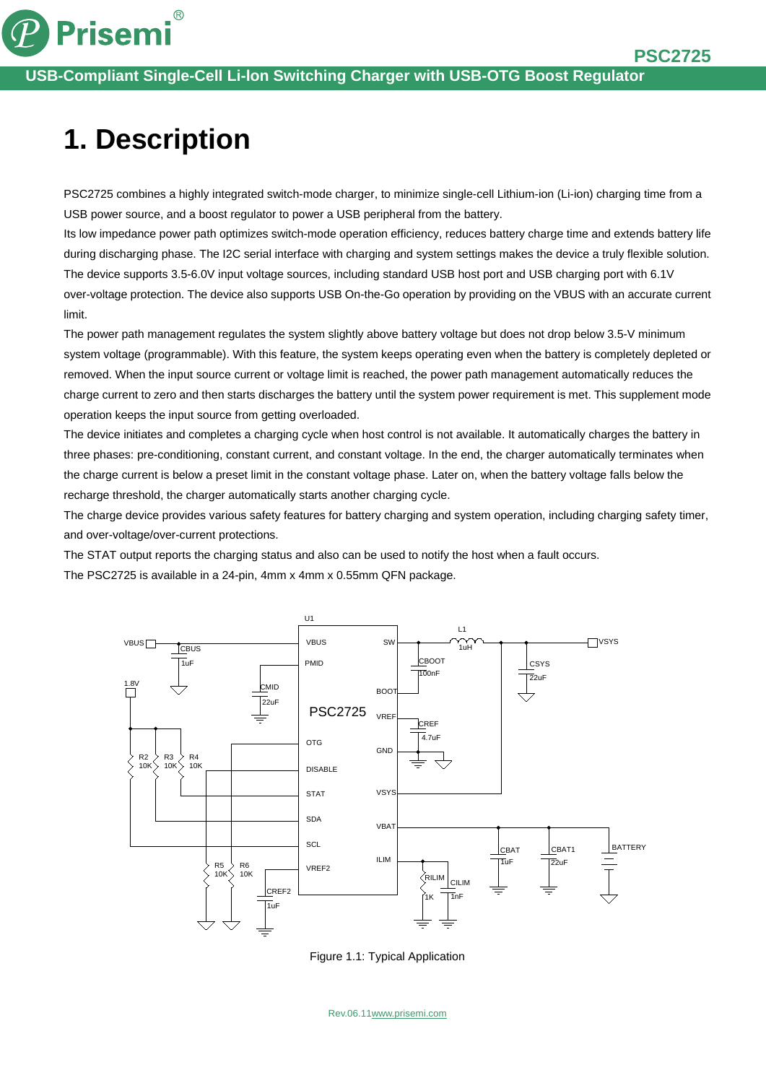

# **1. Description**

**Prisemi** 

 $\circledR$ 

PSC2725 combines a highly integrated switch-mode charger, to minimize single-cell Lithium-ion (Li-ion) charging time from a USB power source, and a boost regulator to power a USB peripheral from the battery.

Its low impedance power path optimizes switch-mode operation efficiency, reduces battery charge time and extends battery life during discharging phase. The I2C serial interface with charging and system settings makes the device a truly flexible solution. The device supports 3.5-6.0V input voltage sources, including standard USB host port and USB charging port with 6.1V over-voltage protection. The device also supports USB On-the-Go operation by providing on the VBUS with an accurate current limit.

The power path management regulates the system slightly above battery voltage but does not drop below 3.5-V minimum system voltage (programmable). With this feature, the system keeps operating even when the battery is completely depleted or removed. When the input source current or voltage limit is reached, the power path management automatically reduces the charge current to zero and then starts discharges the battery until the system power requirement is met. This supplement mode operation keeps the input source from getting overloaded.

The device initiates and completes a charging cycle when host control is not available. It automatically charges the battery in three phases: pre-conditioning, constant current, and constant voltage. In the end, the charger automatically terminates when the charge current is below a preset limit in the constant voltage phase. Later on, when the battery voltage falls below the recharge threshold, the charger automatically starts another charging cycle.

The charge device provides various safety features for battery charging and system operation, including charging safety timer, and over-voltage/over-current protections.

The STAT output reports the charging status and also can be used to notify the host when a fault occurs.

The PSC2725 is available in a 24-pin, 4mm x 4mm x 0.55mm QFN package.



Figure 1.1: Typical Application

Rev.06.1[1www.prisemi.com](http://www.prisemi.com/)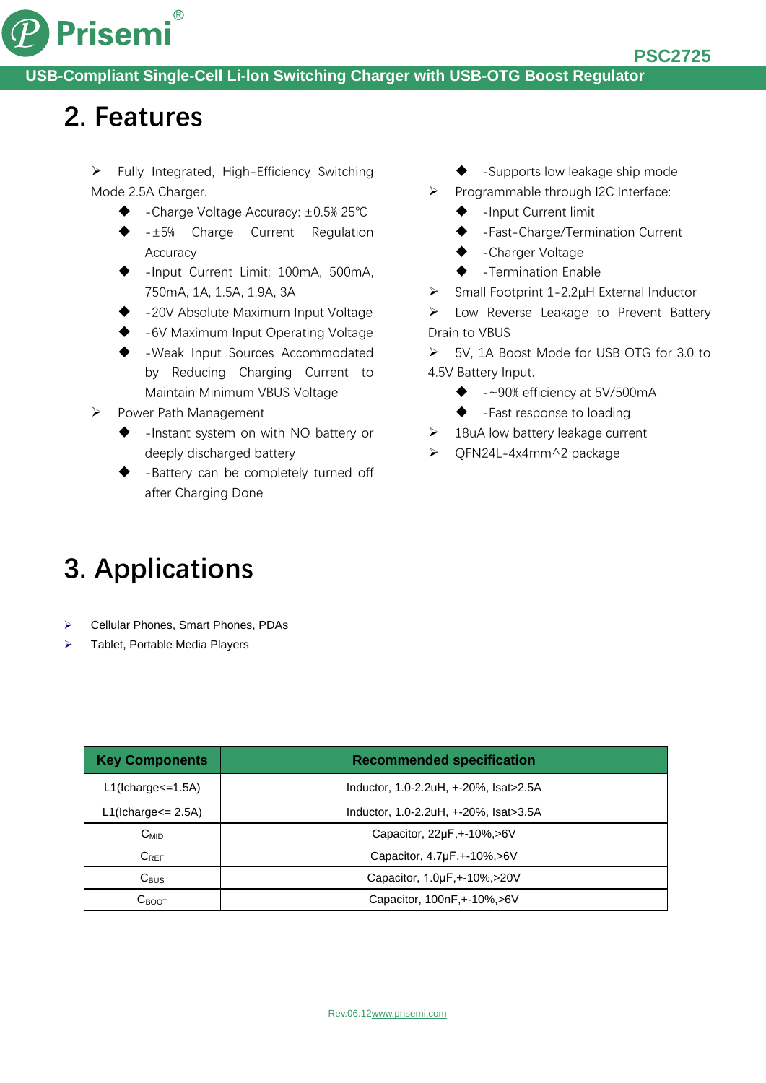

### **2. Features**

 $\triangleright$  Fully Integrated, High-Efficiency Switching Mode 2.5A Charger.

- -Charge Voltage Accuracy: ±0.5% 25℃
- -±5% Charge Current Regulation Accuracy
- -Input Current Limit: 100mA, 500mA, 750mA, 1A, 1.5A, 1.9A, 3A
- -20V Absolute Maximum Input Voltage
- -6V Maximum Input Operating Voltage
- -Weak Input Sources Accommodated by Reducing Charging Current to Maintain Minimum VBUS Voltage

#### ▶ Power Path Management

- -Instant system on with NO battery or deeply discharged battery
- -Battery can be completely turned off after Charging Done
- -Supports low leakage ship mode
- $\triangleright$  Programmable through I2C Interface:
	- -Input Current limit
	- -Fast-Charge/Termination Current
	- -Charger Voltage
	- -Termination Enable
- Small Footprint 1-2.2μH External Inductor

 Low Reverse Leakage to Prevent Battery Drain to VBUS

- 5V, 1A Boost Mode for USB OTG for 3.0 to 4.5V Battery Input.
	- $\bullet$  -~90% efficiency at 5V/500mA
	- ◆ -Fast response to loading
- $\geq$  18uA low battery leakage current
- QFN24L-4x4mm^2 package

## **3. Applications**

- Cellular Phones, Smart Phones, PDAs
- Tablet, Portable Media Players

| <b>Key Components</b>        | <b>Recommended specification</b>       |
|------------------------------|----------------------------------------|
| $L1(lcharge=1.5A)$           | Inductor, 1.0-2.2uH, +-20%, Isat>2.5A  |
| $L1$ (Icharge $\leq$ 2.5A)   | Inductor, 1.0-2.2uH, +-20%, Isat>3.5A  |
| $C_{MID}$                    | Capacitor, $22\mu F$ , $+10\%$ , $>6V$ |
| $C_{REF}$                    | Capacitor, 4.7µF, +-10%, > 6 V         |
| $C_{\text{BUS}}$             | Capacitor, 1.0µF, +-10%, > 20 V        |
| $\mathrm{C}_{\mathrm{BOOT}}$ | Capacitor, 100nF, +-10%, >6V           |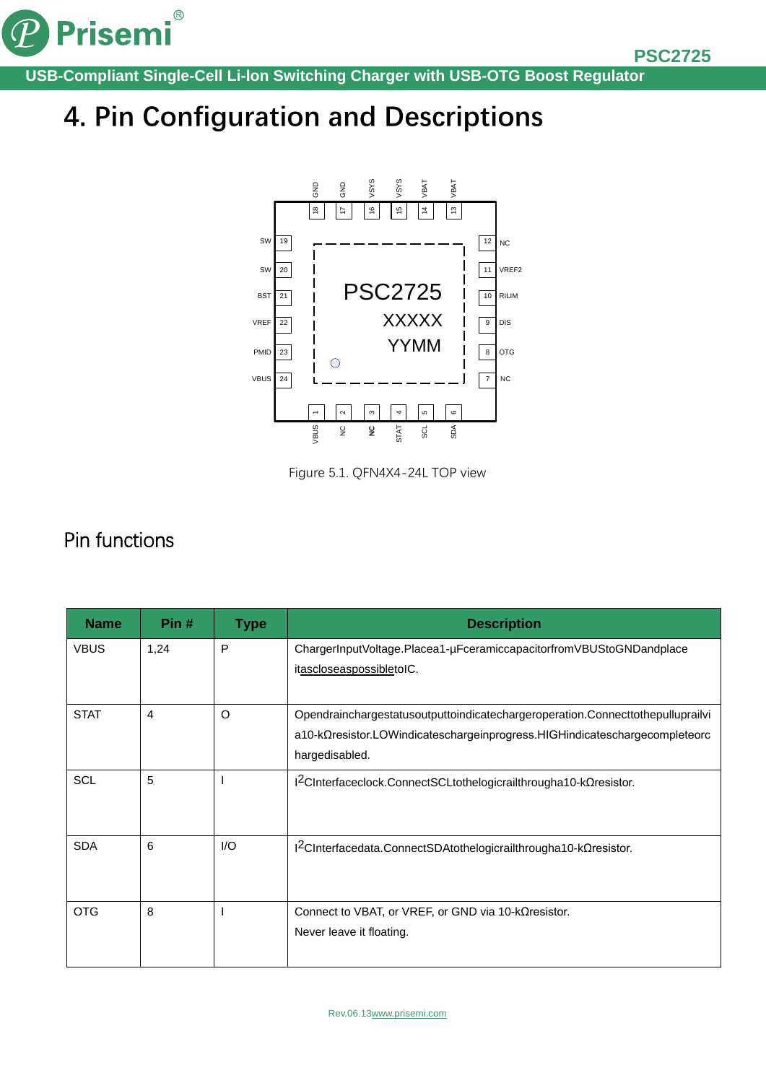

# **4. Pin Configuration and Descriptions**



Figure 5.1. QFN4X4-24L TOP view

### Pin functions

| <b>Name</b> | Pin# | <b>Type</b> | <b>Description</b>                                                                                                                                                             |
|-------------|------|-------------|--------------------------------------------------------------------------------------------------------------------------------------------------------------------------------|
| <b>VBUS</b> | 1,24 | P           | ChargerInputVoltage.Placea1-µFceramiccapacitorfromVBUStoGNDandplace<br>itascloseaspossibletoIC.                                                                                |
|             |      |             |                                                                                                                                                                                |
| <b>STAT</b> | 4    | O           | Opendrainchargestatusoutputtoindicatechargeroperation.Connecttothepulluprailvi<br>a10-kΩresistor.LOWindicateschargeinprogress.HIGHindicateschargecompleteorc<br>hargedisabled. |
| <b>SCL</b>  | 5    |             | I <sup>2</sup> CInterfaceclock.ConnectSCLtothelogicrailthrougha10-kΩresistor.                                                                                                  |
| <b>SDA</b>  | 6    | I/O         | I <sup>2</sup> CInterfacedata.ConnectSDAtothelogicrailthrougha10-kΩresistor.                                                                                                   |
| <b>OTG</b>  | 8    |             | Connect to VBAT, or VREF, or GND via 10-k $\Omega$ resistor.<br>Never leave it floating.                                                                                       |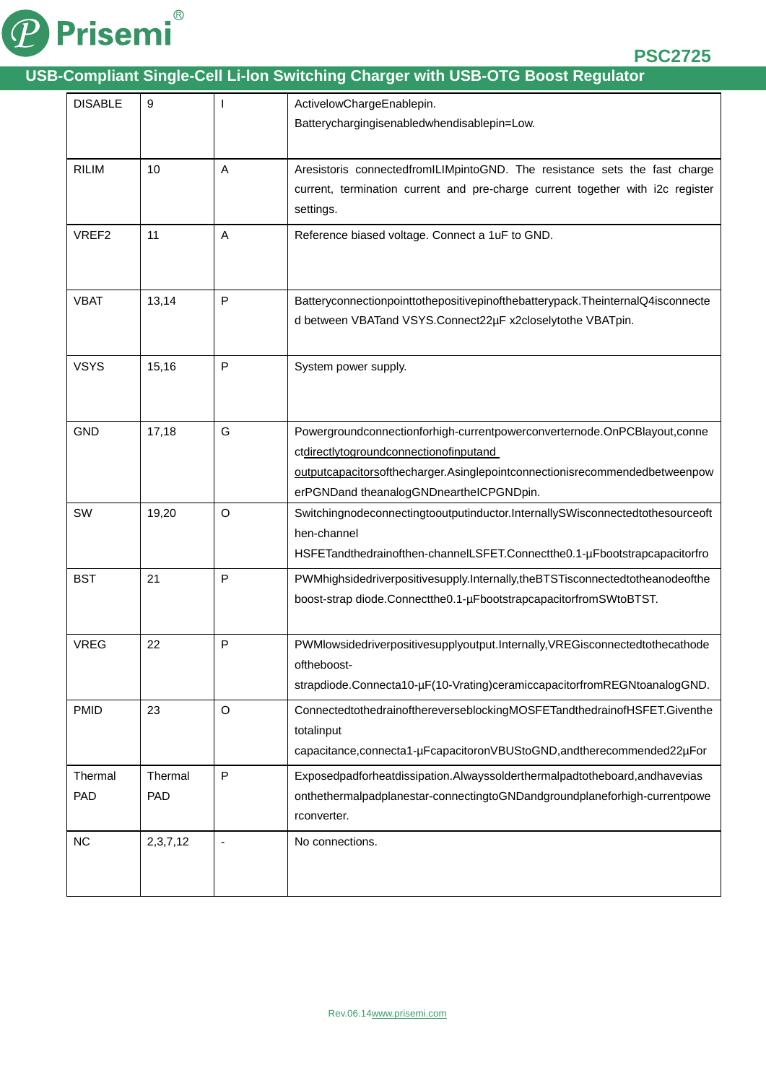

| <b>DISABLE</b> | 9              |              | ActivelowChargeEnablepin.                                                                                                                                                                                                                   |
|----------------|----------------|--------------|---------------------------------------------------------------------------------------------------------------------------------------------------------------------------------------------------------------------------------------------|
|                |                |              | Batterychargingisenabledwhendisablepin=Low.                                                                                                                                                                                                 |
| <b>RILIM</b>   | 10             | A            | Aresistoris connectedfromILIMpintoGND. The resistance sets the fast charge<br>current, termination current and pre-charge current together with i2c register<br>settings.                                                                   |
| VREF2          | 11             | A            | Reference biased voltage. Connect a 1uF to GND.                                                                                                                                                                                             |
| <b>VBAT</b>    | 13,14          | $\mathsf{P}$ | Batteryconnectionpointtothepositivepinofthebatterypack. TheinternalQ4isconnecte<br>d between VBATand VSYS.Connect22µF x2closelytothe VBATpin.                                                                                               |
| <b>VSYS</b>    | 15,16          | $\mathsf{P}$ | System power supply.                                                                                                                                                                                                                        |
| <b>GND</b>     | 17,18          | G            | Powergroundconnectionforhigh-currentpowerconverternode.OnPCBlayout,conne<br>ctdirectlytogroundconnectionofinputand<br>outputcapacitorsofthecharger.Asinglepointconnectionisrecommendedbetweenpow<br>erPGNDand theanalogGNDneartheICPGNDpin. |
| SW             | 19,20          | O            | Switchingnodeconnectingtooutputinductor.InternallySWisconnectedtothesourceoft<br>hen-channel<br>HSFETandthedrainofthen-channelLSFET.Connectthe0.1-µFbootstrapcapacitorfro                                                                   |
| <b>BST</b>     | 21             | P            | PWMhighsidedriverpositivesupply.Internally,theBTSTisconnectedtotheanodeofthe<br>boost-strap diode.Connectthe0.1-µFbootstrapcapacitorfromSWtoBTST.                                                                                           |
| <b>VREG</b>    | 22             | $\mathsf{P}$ | PWMIowsidedriverpositivesupplyoutput.Internally, VREGisconnectedtothecathode<br>oftheboost-<br>strapdiode.Connecta10-µF(10-Vrating)ceramiccapacitorfromREGNtoanalogGND.                                                                     |
| <b>PMID</b>    | 23             | $\circ$      | ConnectedtothedrainofthereverseblockingMOSFETandthedrainofHSFET.Giventhe<br>totalinput<br>capacitance, connecta1-µFcapacitoronVBUStoGND, and the recommended 22µFor                                                                         |
| Thermal<br>PAD | Thermal<br>PAD | ${\sf P}$    | Exposedpadforheatdissipation.Alwayssolderthermalpadtotheboard,andhavevias<br>onthethermalpadplanestar-connectingtoGNDandgroundplaneforhigh-currentpowe<br>rconverter.                                                                       |
| NC             | 2,3,7,12       |              | No connections.                                                                                                                                                                                                                             |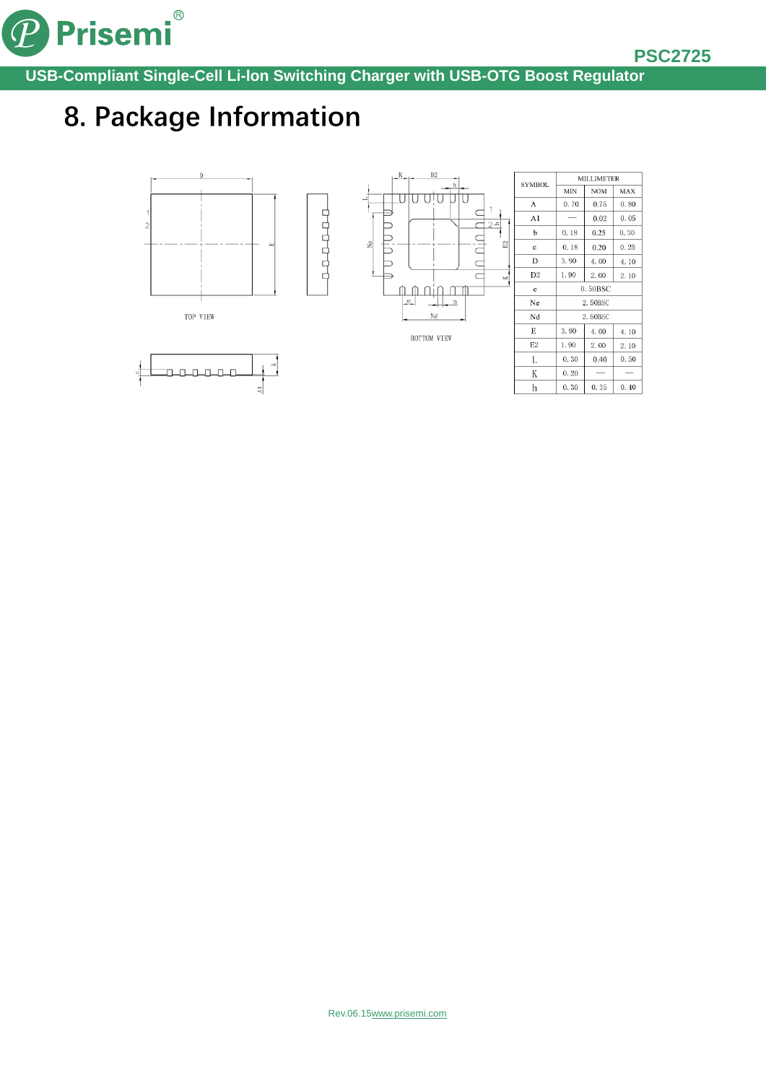

## **8. Package Information**